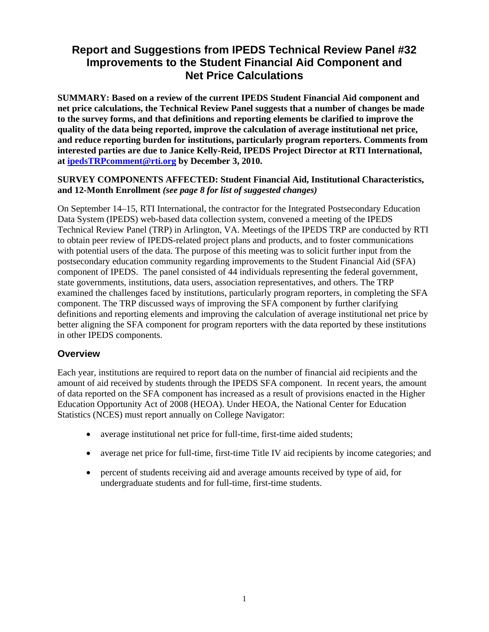# **Report and Suggestions from IPEDS Technical Review Panel #32 Improvements to the Student Financial Aid Component and Net Price Calculations**

**SUMMARY: Based on a review of the current IPEDS Student Financial Aid component and net price calculations, the Technical Review Panel suggests that a number of changes be made to the survey forms, and that definitions and reporting elements be clarified to improve the quality of the data being reported, improve the calculation of average institutional net price, and reduce reporting burden for institutions, particularly program reporters. Comments from interested parties are due to Janice Kelly-Reid, IPEDS Project Director at RTI International, at ipedsTRPcomment@rti.org by December 3, 2010.** 

#### **SURVEY COMPONENTS AFFECTED: Student Financial Aid, Institutional Characteristics, and 12-Month Enrollment** *(see page 8 for list of suggested changes)*

On September 14–15, RTI International, the contractor for the Integrated Postsecondary Education Data System (IPEDS) web-based data collection system, convened a meeting of the IPEDS Technical Review Panel (TRP) in Arlington, VA. Meetings of the IPEDS TRP are conducted by RTI to obtain peer review of IPEDS-related project plans and products, and to foster communications with potential users of the data. The purpose of this meeting was to solicit further input from the postsecondary education community regarding improvements to the Student Financial Aid (SFA) component of IPEDS. The panel consisted of 44 individuals representing the federal government, state governments, institutions, data users, association representatives, and others. The TRP examined the challenges faced by institutions, particularly program reporters, in completing the SFA component. The TRP discussed ways of improving the SFA component by further clarifying definitions and reporting elements and improving the calculation of average institutional net price by better aligning the SFA component for program reporters with the data reported by these institutions in other IPEDS components.

### **Overview**

Each year, institutions are required to report data on the number of financial aid recipients and the amount of aid received by students through the IPEDS SFA component. In recent years, the amount of data reported on the SFA component has increased as a result of provisions enacted in the Higher Education Opportunity Act of 2008 (HEOA). Under HEOA, the National Center for Education Statistics (NCES) must report annually on College Navigator:

- average institutional net price for full-time, first-time aided students;
- average net price for full-time, first-time Title IV aid recipients by income categories; and
- percent of students receiving aid and average amounts received by type of aid, for undergraduate students and for full-time, first-time students.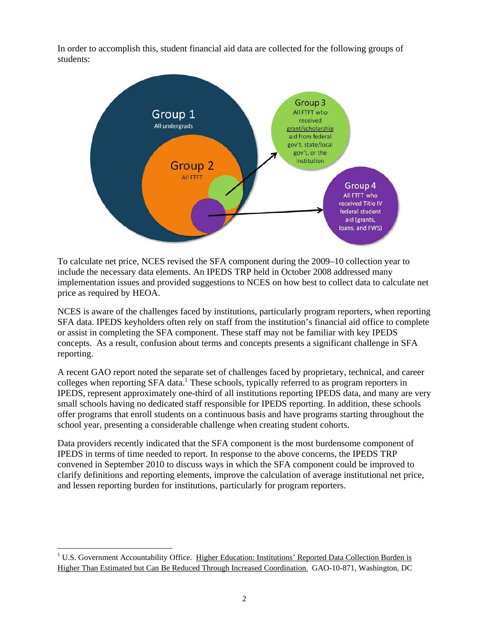In order to accomplish this, student financial aid data are collected for the following groups of students:



To calculate net price, NCES revised the SFA component during the 2009–10 collection year to include the necessary data elements. An IPEDS TRP held in October 2008 addressed many implementation issues and provided suggestions to NCES on how best to collect data to calculate net price as required by HEOA.

NCES is aware of the challenges faced by institutions, particularly program reporters, when reporting SFA data. IPEDS keyholders often rely on staff from the institution's financial aid office to complete or assist in completing the SFA component. These staff may not be familiar with key IPEDS concepts. As a result, confusion about terms and concepts presents a significant challenge in SFA reporting.

A recent GAO report noted the separate set of challenges faced by proprietary, technical, and career colleges when reporting SFA data.<sup>1</sup> These schools, typically referred to as program reporters in IPEDS, represent approximately one-third of all institutions reporting IPEDS data, and many are very small schools having no dedicated staff responsible for IPEDS reporting. In addition, these schools offer programs that enroll students on a continuous basis and have programs starting throughout the school year, presenting a considerable challenge when creating student cohorts.

Data providers recently indicated that the SFA component is the most burdensome component of IPEDS in terms of time needed to report. In response to the above concerns, the IPEDS TRP convened in September 2010 to discuss ways in which the SFA component could be improved to clarify definitions and reporting elements, improve the calculation of average institutional net price, and lessen reporting burden for institutions, particularly for program reporters.

 $\overline{a}$ 

<sup>&</sup>lt;sup>1</sup> U.S. Government Accountability Office. Higher Education: Institutions' Reported Data Collection Burden is Higher Than Estimated but Can Be Reduced Through Increased Coordination. GAO-10-871, Washington, DC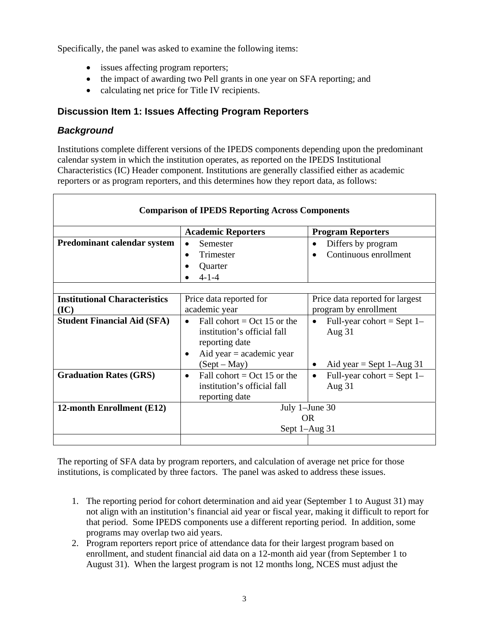Specifically, the panel was asked to examine the following items:

- issues affecting program reporters;
- the impact of awarding two Pell grants in one year on SFA reporting; and
- calculating net price for Title IV recipients.

### **Discussion Item 1: Issues Affecting Program Reporters**

### *Background*

Institutions complete different versions of the IPEDS components depending upon the predominant calendar system in which the institution operates, as reported on the IPEDS Institutional Characteristics (IC) Header component. Institutions are generally classified either as academic reporters or as program reporters, and this determines how they report data, as follows:

| <b>Comparison of IPEDS Reporting Across Components</b> |                                                                                                                                                |                                                                          |  |  |  |
|--------------------------------------------------------|------------------------------------------------------------------------------------------------------------------------------------------------|--------------------------------------------------------------------------|--|--|--|
|                                                        | <b>Academic Reporters</b>                                                                                                                      | <b>Program Reporters</b>                                                 |  |  |  |
| <b>Predominant calendar system</b>                     | Semester<br>$\bullet$<br>Trimester<br>$\bullet$<br>Quarter<br>$4 - 1 - 4$                                                                      | Differs by program<br>Continuous enrollment                              |  |  |  |
|                                                        |                                                                                                                                                |                                                                          |  |  |  |
| <b>Institutional Characteristics</b><br>(IC)           | Price data reported for<br>academic year                                                                                                       | Price data reported for largest<br>program by enrollment                 |  |  |  |
| <b>Student Financial Aid (SFA)</b>                     | Fall cohort = $Oct$ 15 or the<br>$\bullet$<br>institution's official fall<br>reporting date<br>Aid year $=$ academic year<br>٠<br>$(Sept-May)$ | Full-year cohort = Sept $1-$<br>Aug $31$<br>Aid year = Sept $1 - Aug$ 31 |  |  |  |
| <b>Graduation Rates (GRS)</b>                          | Fall cohort = Oct 15 or the<br>$\bullet$<br>institution's official fall<br>reporting date                                                      | Full-year cohort = Sept $1-$<br>Aug $31$                                 |  |  |  |
| 12-month Enrollment (E12)                              | July 1-June 30<br>OR.<br>Sept 1-Aug 31                                                                                                         |                                                                          |  |  |  |
|                                                        |                                                                                                                                                |                                                                          |  |  |  |

The reporting of SFA data by program reporters, and calculation of average net price for those institutions, is complicated by three factors. The panel was asked to address these issues.

- 1. The reporting period for cohort determination and aid year (September 1 to August 31) may not align with an institution's financial aid year or fiscal year, making it difficult to report for that period. Some IPEDS components use a different reporting period. In addition, some programs may overlap two aid years.
- 2. Program reporters report price of attendance data for their largest program based on enrollment, and student financial aid data on a 12-month aid year (from September 1 to August 31). When the largest program is not 12 months long, NCES must adjust the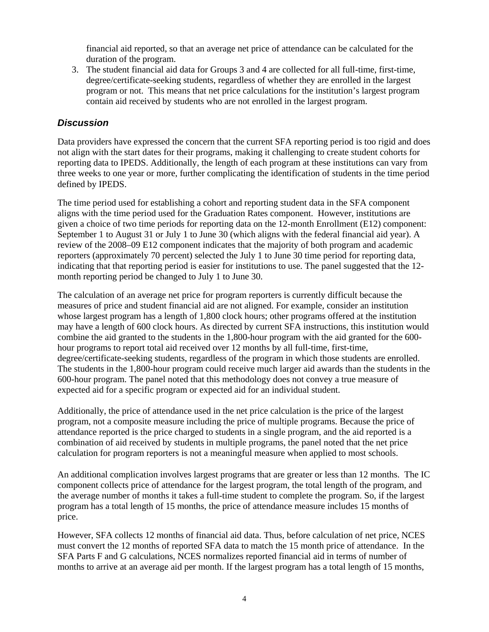financial aid reported, so that an average net price of attendance can be calculated for the duration of the program.

3. The student financial aid data for Groups 3 and 4 are collected for all full-time, first-time, degree/certificate-seeking students, regardless of whether they are enrolled in the largest program or not. This means that net price calculations for the institution's largest program contain aid received by students who are not enrolled in the largest program.

#### *Discussion*

Data providers have expressed the concern that the current SFA reporting period is too rigid and does not align with the start dates for their programs, making it challenging to create student cohorts for reporting data to IPEDS. Additionally, the length of each program at these institutions can vary from three weeks to one year or more, further complicating the identification of students in the time period defined by IPEDS.

The time period used for establishing a cohort and reporting student data in the SFA component aligns with the time period used for the Graduation Rates component. However, institutions are given a choice of two time periods for reporting data on the 12-month Enrollment (E12) component: September 1 to August 31 or July 1 to June 30 (which aligns with the federal financial aid year). A review of the 2008–09 E12 component indicates that the majority of both program and academic reporters (approximately 70 percent) selected the July 1 to June 30 time period for reporting data, indicating that that reporting period is easier for institutions to use. The panel suggested that the 12 month reporting period be changed to July 1 to June 30.

The calculation of an average net price for program reporters is currently difficult because the measures of price and student financial aid are not aligned. For example, consider an institution whose largest program has a length of 1,800 clock hours; other programs offered at the institution may have a length of 600 clock hours. As directed by current SFA instructions, this institution would combine the aid granted to the students in the 1,800-hour program with the aid granted for the 600 hour programs to report total aid received over 12 months by all full-time, first-time, degree/certificate-seeking students, regardless of the program in which those students are enrolled. The students in the 1,800-hour program could receive much larger aid awards than the students in the 600-hour program. The panel noted that this methodology does not convey a true measure of expected aid for a specific program or expected aid for an individual student.

Additionally, the price of attendance used in the net price calculation is the price of the largest program, not a composite measure including the price of multiple programs. Because the price of attendance reported is the price charged to students in a single program, and the aid reported is a combination of aid received by students in multiple programs, the panel noted that the net price calculation for program reporters is not a meaningful measure when applied to most schools.

An additional complication involves largest programs that are greater or less than 12 months. The IC component collects price of attendance for the largest program, the total length of the program, and the average number of months it takes a full-time student to complete the program. So, if the largest program has a total length of 15 months, the price of attendance measure includes 15 months of price.

However, SFA collects 12 months of financial aid data. Thus, before calculation of net price, NCES must convert the 12 months of reported SFA data to match the 15 month price of attendance. In the SFA Parts F and G calculations, NCES normalizes reported financial aid in terms of number of months to arrive at an average aid per month. If the largest program has a total length of 15 months,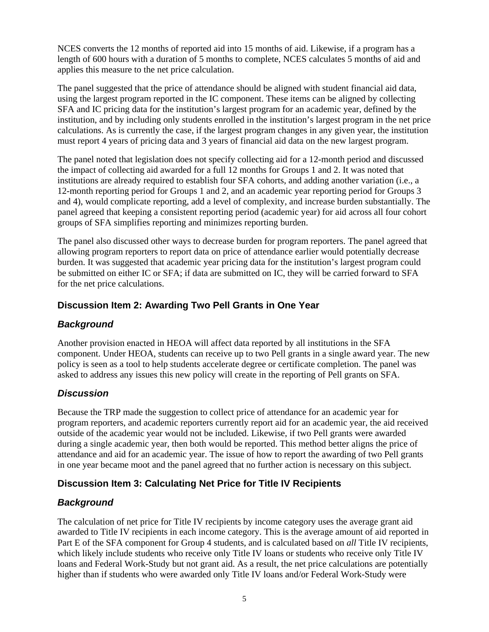NCES converts the 12 months of reported aid into 15 months of aid. Likewise, if a program has a length of 600 hours with a duration of 5 months to complete, NCES calculates 5 months of aid and applies this measure to the net price calculation.

The panel suggested that the price of attendance should be aligned with student financial aid data, using the largest program reported in the IC component. These items can be aligned by collecting SFA and IC pricing data for the institution's largest program for an academic year, defined by the institution, and by including only students enrolled in the institution's largest program in the net price calculations. As is currently the case, if the largest program changes in any given year, the institution must report 4 years of pricing data and 3 years of financial aid data on the new largest program.

The panel noted that legislation does not specify collecting aid for a 12-month period and discussed the impact of collecting aid awarded for a full 12 months for Groups 1 and 2. It was noted that institutions are already required to establish four SFA cohorts, and adding another variation (i.e., a 12-month reporting period for Groups 1 and 2, and an academic year reporting period for Groups 3 and 4), would complicate reporting, add a level of complexity, and increase burden substantially. The panel agreed that keeping a consistent reporting period (academic year) for aid across all four cohort groups of SFA simplifies reporting and minimizes reporting burden.

The panel also discussed other ways to decrease burden for program reporters. The panel agreed that allowing program reporters to report data on price of attendance earlier would potentially decrease burden. It was suggested that academic year pricing data for the institution's largest program could be submitted on either IC or SFA; if data are submitted on IC, they will be carried forward to SFA for the net price calculations.

### **Discussion Item 2: Awarding Two Pell Grants in One Year**

### *Background*

Another provision enacted in HEOA will affect data reported by all institutions in the SFA component. Under HEOA, students can receive up to two Pell grants in a single award year. The new policy is seen as a tool to help students accelerate degree or certificate completion. The panel was asked to address any issues this new policy will create in the reporting of Pell grants on SFA.

### *Discussion*

Because the TRP made the suggestion to collect price of attendance for an academic year for program reporters, and academic reporters currently report aid for an academic year, the aid received outside of the academic year would not be included. Likewise, if two Pell grants were awarded during a single academic year, then both would be reported. This method better aligns the price of attendance and aid for an academic year. The issue of how to report the awarding of two Pell grants in one year became moot and the panel agreed that no further action is necessary on this subject.

### **Discussion Item 3: Calculating Net Price for Title IV Recipients**

### *Background*

The calculation of net price for Title IV recipients by income category uses the average grant aid awarded to Title IV recipients in each income category. This is the average amount of aid reported in Part E of the SFA component for Group 4 students, and is calculated based on *all* Title IV recipients, which likely include students who receive only Title IV loans or students who receive only Title IV loans and Federal Work-Study but not grant aid. As a result, the net price calculations are potentially higher than if students who were awarded only Title IV loans and/or Federal Work-Study were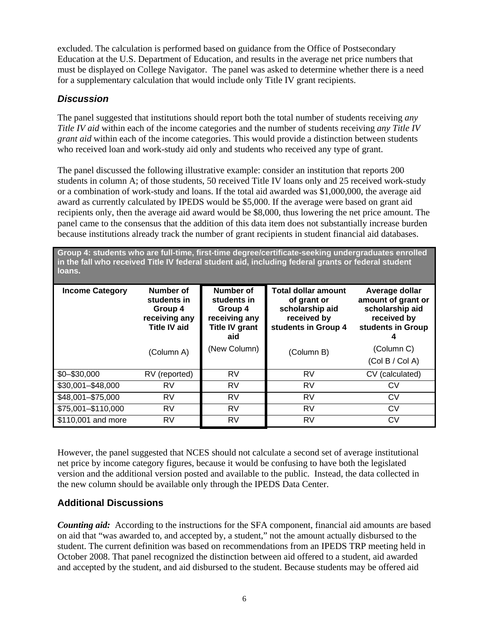excluded. The calculation is performed based on guidance from the Office of Postsecondary Education at the U.S. Department of Education, and results in the average net price numbers that must be displayed on College Navigator. The panel was asked to determine whether there is a need for a supplementary calculation that would include only Title IV grant recipients.

### *Discussion*

The panel suggested that institutions should report both the total number of students receiving *any Title IV aid* within each of the income categories and the number of students receiving *any Title IV grant aid* within each of the income categories. This would provide a distinction between students who received loan and work-study aid only and students who received any type of grant.

The panel discussed the following illustrative example: consider an institution that reports 200 students in column A; of those students, 50 received Title IV loans only and 25 received work-study or a combination of work-study and loans. If the total aid awarded was \$1,000,000, the average aid award as currently calculated by IPEDS would be \$5,000. If the average were based on grant aid recipients only, then the average aid award would be \$8,000, thus lowering the net price amount. The panel came to the consensus that the addition of this data item does not substantially increase burden because institutions already track the number of grant recipients in student financial aid databases.

**Group 4: students who are full-time, first-time degree/certificate-seeking undergraduates enrolled in the fall who received Title IV federal student aid, including federal grants or federal student loans.** 

| <b>Income Category</b> | Number of<br>students in<br>Group 4<br>receiving any<br><b>Title IV aid</b> | Number of<br>students in<br>Group 4<br>receiving any<br><b>Title IV grant</b><br>aid | <b>Total dollar amount</b><br>of grant or<br>scholarship aid<br>received by<br>students in Group 4 | Average dollar<br>amount of grant or<br>scholarship aid<br>received by<br>students in Group |
|------------------------|-----------------------------------------------------------------------------|--------------------------------------------------------------------------------------|----------------------------------------------------------------------------------------------------|---------------------------------------------------------------------------------------------|
|                        | (Column A)                                                                  | (New Column)                                                                         | (Column B)                                                                                         | (Column C)                                                                                  |
|                        |                                                                             |                                                                                      |                                                                                                    | (Col B / Col A)                                                                             |
| $$0 - $30,000$         | RV (reported)                                                               | <b>RV</b>                                                                            | RV                                                                                                 | CV (calculated)                                                                             |
| \$30,001-\$48,000      | <b>RV</b>                                                                   | RV                                                                                   | RV                                                                                                 | CV                                                                                          |
| \$48,001-\$75,000      | RV                                                                          | RV                                                                                   | RV                                                                                                 | CV                                                                                          |
| \$75,001-\$110,000     | <b>RV</b>                                                                   | RV                                                                                   | RV                                                                                                 | CV                                                                                          |
| \$110,001 and more     | RV                                                                          | RV                                                                                   | RV                                                                                                 | CV                                                                                          |

However, the panel suggested that NCES should not calculate a second set of average institutional net price by income category figures, because it would be confusing to have both the legislated version and the additional version posted and available to the public. Instead, the data collected in the new column should be available only through the IPEDS Data Center.

### **Additional Discussions**

**Counting aid:** According to the instructions for the SFA component, financial aid amounts are based on aid that "was awarded to, and accepted by, a student," not the amount actually disbursed to the student. The current definition was based on recommendations from an IPEDS TRP meeting held in October 2008. That panel recognized the distinction between aid offered to a student, aid awarded and accepted by the student, and aid disbursed to the student. Because students may be offered aid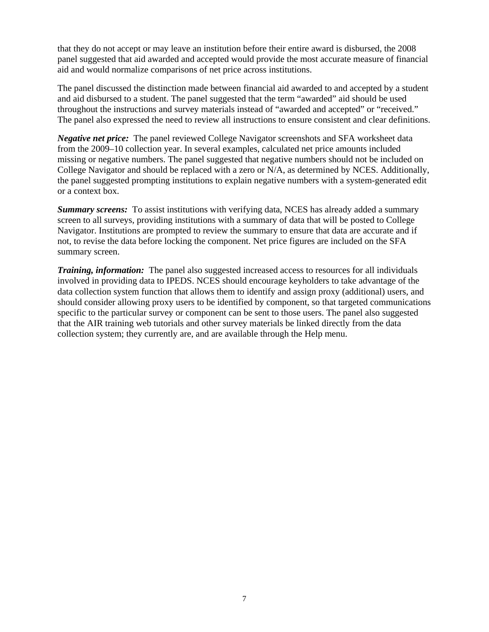that they do not accept or may leave an institution before their entire award is disbursed, the 2008 panel suggested that aid awarded and accepted would provide the most accurate measure of financial aid and would normalize comparisons of net price across institutions.

The panel discussed the distinction made between financial aid awarded to and accepted by a student and aid disbursed to a student. The panel suggested that the term "awarded" aid should be used throughout the instructions and survey materials instead of "awarded and accepted" or "received." The panel also expressed the need to review all instructions to ensure consistent and clear definitions.

*Negative net price:* The panel reviewed College Navigator screenshots and SFA worksheet data from the 2009–10 collection year. In several examples, calculated net price amounts included missing or negative numbers. The panel suggested that negative numbers should not be included on College Navigator and should be replaced with a zero or N/A, as determined by NCES. Additionally, the panel suggested prompting institutions to explain negative numbers with a system-generated edit or a context box.

*Summary screens:* To assist institutions with verifying data, NCES has already added a summary screen to all surveys, providing institutions with a summary of data that will be posted to College Navigator. Institutions are prompted to review the summary to ensure that data are accurate and if not, to revise the data before locking the component. Net price figures are included on the SFA summary screen.

*Training, information:* The panel also suggested increased access to resources for all individuals involved in providing data to IPEDS. NCES should encourage keyholders to take advantage of the data collection system function that allows them to identify and assign proxy (additional) users, and should consider allowing proxy users to be identified by component, so that targeted communications specific to the particular survey or component can be sent to those users. The panel also suggested that the AIR training web tutorials and other survey materials be linked directly from the data collection system; they currently are, and are available through the Help menu.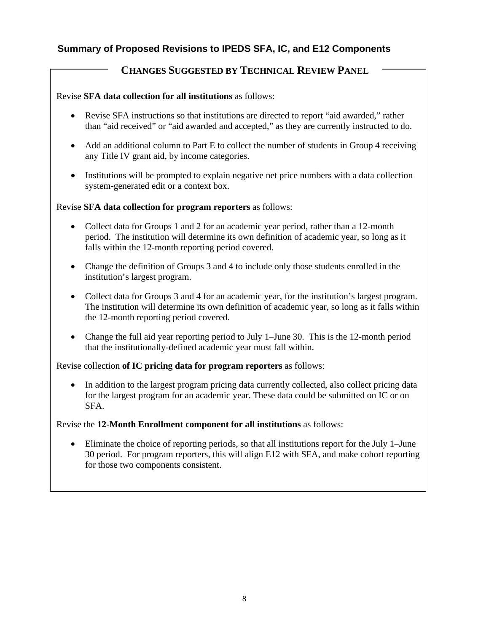# **Summary of Proposed Revisions to IPEDS SFA, IC, and E12 Components**

# **CHANGES SUGGESTED BY TECHNICAL REVIEW PANEL**

#### Revise **SFA data collection for all institutions** as follows:

- Revise SFA instructions so that institutions are directed to report "aid awarded," rather than "aid received" or "aid awarded and accepted," as they are currently instructed to do.
- Add an additional column to Part E to collect the number of students in Group 4 receiving any Title IV grant aid, by income categories.
- Institutions will be prompted to explain negative net price numbers with a data collection system-generated edit or a context box.

Revise **SFA data collection for program reporters** as follows:

- Collect data for Groups 1 and 2 for an academic year period, rather than a 12-month period. The institution will determine its own definition of academic year, so long as it falls within the 12-month reporting period covered.
- Change the definition of Groups 3 and 4 to include only those students enrolled in the institution's largest program.
- Collect data for Groups 3 and 4 for an academic year, for the institution's largest program. The institution will determine its own definition of academic year, so long as it falls within the 12-month reporting period covered.
- Change the full aid year reporting period to July 1–June 30. This is the 12-month period that the institutionally-defined academic year must fall within.

Revise collection **of IC pricing data for program reporters** as follows:

• In addition to the largest program pricing data currently collected, also collect pricing data for the largest program for an academic year. These data could be submitted on IC or on SFA.

Revise the **12-Month Enrollment component for all institutions** as follows:

• Eliminate the choice of reporting periods, so that all institutions report for the July 1–June 30 period. For program reporters, this will align E12 with SFA, and make cohort reporting for those two components consistent.